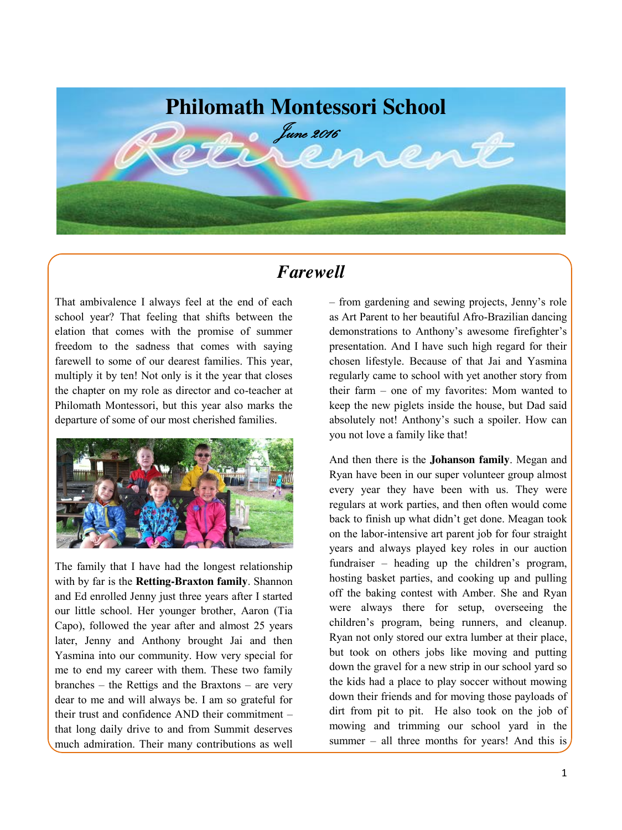

### *Farewell*

That ambivalence I always feel at the end of each school year? That feeling that shifts between the elation that comes with the promise of summer freedom to the sadness that comes with saying farewell to some of our dearest families. This year, multiply it by ten! Not only is it the year that closes the chapter on my role as director and co-teacher at Philomath Montessori, but this year also marks the departure of some of our most cherished families.



The family that I have had the longest relationship with by far is the **Retting-Braxton family**. Shannon and Ed enrolled Jenny just three years after I started our little school. Her younger brother, Aaron (Tia Capo), followed the year after and almost 25 years later, Jenny and Anthony brought Jai and then Yasmina into our community. How very special for me to end my career with them. These two family branches – the Rettigs and the Braxtons – are very dear to me and will always be. I am so grateful for their trust and confidence AND their commitment – that long daily drive to and from Summit deserves much admiration. Their many contributions as well – from gardening and sewing projects, Jenny's role as Art Parent to her beautiful Afro-Brazilian dancing demonstrations to Anthony's awesome firefighter's presentation. And I have such high regard for their chosen lifestyle. Because of that Jai and Yasmina regularly came to school with yet another story from their farm – one of my favorites: Mom wanted to keep the new piglets inside the house, but Dad said absolutely not! Anthony's such a spoiler. How can you not love a family like that!

And then there is the **Johanson family**. Megan and Ryan have been in our super volunteer group almost every year they have been with us. They were regulars at work parties, and then often would come back to finish up what didn't get done. Meagan took on the labor-intensive art parent job for four straight years and always played key roles in our auction fundraiser – heading up the children's program, hosting basket parties, and cooking up and pulling off the baking contest with Amber. She and Ryan were always there for setup, overseeing the children's program, being runners, and cleanup. Ryan not only stored our extra lumber at their place, but took on others jobs like moving and putting down the gravel for a new strip in our school yard so the kids had a place to play soccer without mowing down their friends and for moving those payloads of dirt from pit to pit. He also took on the job of mowing and trimming our school yard in the summer – all three months for years! And this is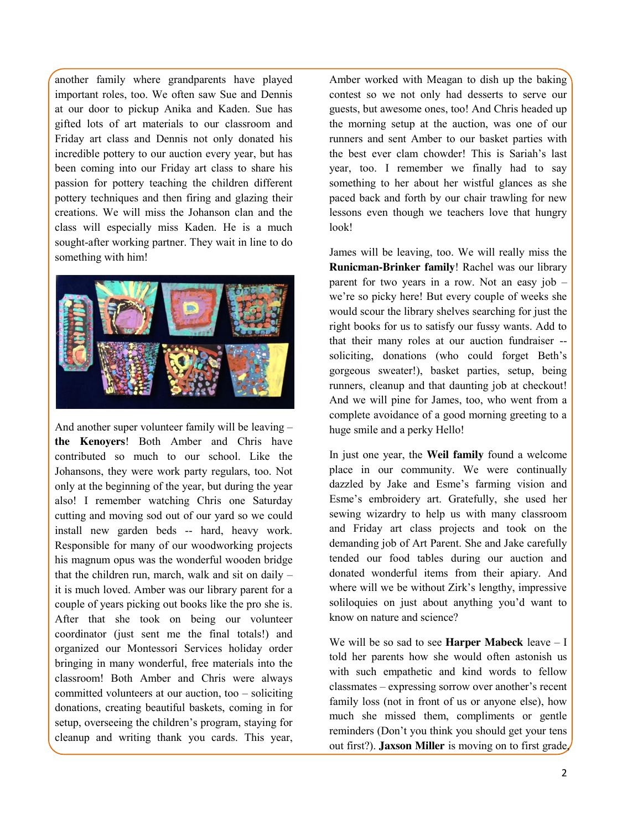another family where grandparents have played important roles, too. We often saw Sue and Dennis at our door to pickup Anika and Kaden. Sue has gifted lots of art materials to our classroom and Friday art class and Dennis not only donated his incredible pottery to our auction every year, but has been coming into our Friday art class to share his passion for pottery teaching the children different pottery techniques and then firing and glazing their creations. We will miss the Johanson clan and the class will especially miss Kaden. He is a much sought-after working partner. They wait in line to do something with him!



And another super volunteer family will be leaving – **the Kenoyers**! Both Amber and Chris have contributed so much to our school. Like the Johansons, they were work party regulars, too. Not only at the beginning of the year, but during the year also! I remember watching Chris one Saturday cutting and moving sod out of our yard so we could install new garden beds -- hard, heavy work. Responsible for many of our woodworking projects his magnum opus was the wonderful wooden bridge that the children run, march, walk and sit on daily – it is much loved. Amber was our library parent for a couple of years picking out books like the pro she is. After that she took on being our volunteer coordinator (just sent me the final totals!) and organized our Montessori Services holiday order bringing in many wonderful, free materials into the classroom! Both Amber and Chris were always committed volunteers at our auction, too – soliciting donations, creating beautiful baskets, coming in for setup, overseeing the children's program, staying for cleanup and writing thank you cards. This year, Amber worked with Meagan to dish up the baking contest so we not only had desserts to serve our guests, but awesome ones, too! And Chris headed up the morning setup at the auction, was one of our runners and sent Amber to our basket parties with the best ever clam chowder! This is Sariah's last year, too. I remember we finally had to say something to her about her wistful glances as she paced back and forth by our chair trawling for new lessons even though we teachers love that hungry look!

James will be leaving, too. We will really miss the **Runicman-Brinker family**! Rachel was our library parent for two years in a row. Not an easy job – we're so picky here! But every couple of weeks she would scour the library shelves searching for just the right books for us to satisfy our fussy wants. Add to that their many roles at our auction fundraiser - soliciting, donations (who could forget Beth's gorgeous sweater!), basket parties, setup, being runners, cleanup and that daunting job at checkout! And we will pine for James, too, who went from a complete avoidance of a good morning greeting to a huge smile and a perky Hello!

In just one year, the **Weil family** found a welcome place in our community. We were continually dazzled by Jake and Esme's farming vision and Esme's embroidery art. Gratefully, she used her sewing wizardry to help us with many classroom and Friday art class projects and took on the demanding job of Art Parent. She and Jake carefully tended our food tables during our auction and donated wonderful items from their apiary. And where will we be without Zirk's lengthy, impressive soliloquies on just about anything you'd want to know on nature and science?

We will be so sad to see **Harper Mabeck** leave – I told her parents how she would often astonish us with such empathetic and kind words to fellow classmates – expressing sorrow over another's recent family loss (not in front of us or anyone else), how much she missed them, compliments or gentle reminders (Don't you think you should get your tens out first?). **Jaxson Miller** is moving on to first grade,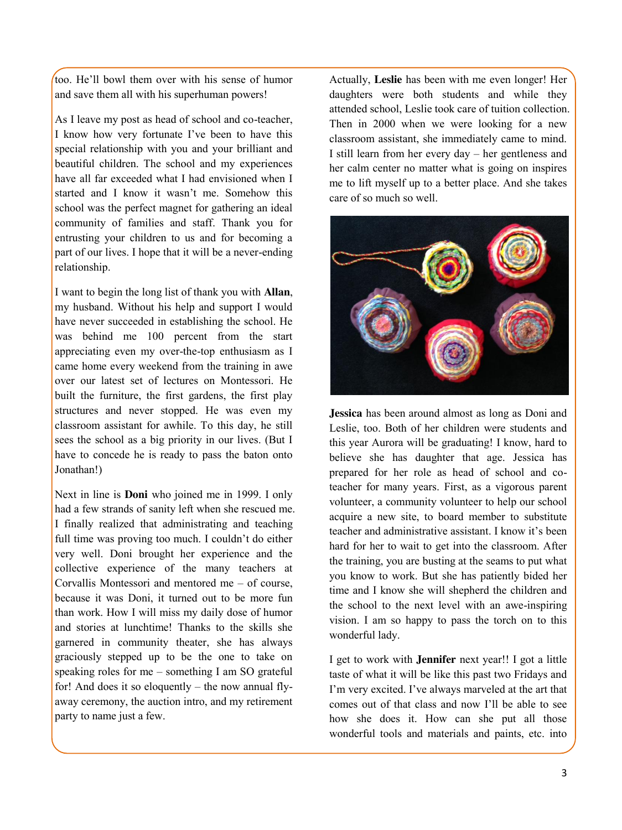too. He'll bowl them over with his sense of humor and save them all with his superhuman powers!

As I leave my post as head of school and co-teacher, I know how very fortunate I've been to have this special relationship with you and your brilliant and beautiful children. The school and my experiences have all far exceeded what I had envisioned when I started and I know it wasn't me. Somehow this school was the perfect magnet for gathering an ideal community of families and staff. Thank you for entrusting your children to us and for becoming a part of our lives. I hope that it will be a never-ending relationship.

I want to begin the long list of thank you with **Allan**, my husband. Without his help and support I would have never succeeded in establishing the school. He was behind me 100 percent from the start appreciating even my over-the-top enthusiasm as I came home every weekend from the training in awe over our latest set of lectures on Montessori. He built the furniture, the first gardens, the first play structures and never stopped. He was even my classroom assistant for awhile. To this day, he still sees the school as a big priority in our lives. (But I have to concede he is ready to pass the baton onto Jonathan!)

Next in line is **Doni** who joined me in 1999. I only had a few strands of sanity left when she rescued me. I finally realized that administrating and teaching full time was proving too much. I couldn't do either very well. Doni brought her experience and the collective experience of the many teachers at Corvallis Montessori and mentored me – of course, because it was Doni, it turned out to be more fun than work. How I will miss my daily dose of humor and stories at lunchtime! Thanks to the skills she garnered in community theater, she has always graciously stepped up to be the one to take on speaking roles for me – something I am SO grateful for! And does it so eloquently – the now annual flyaway ceremony, the auction intro, and my retirement party to name just a few.

Actually, **Leslie** has been with me even longer! Her daughters were both students and while they attended school, Leslie took care of tuition collection. Then in 2000 when we were looking for a new classroom assistant, she immediately came to mind. I still learn from her every day – her gentleness and her calm center no matter what is going on inspires me to lift myself up to a better place. And she takes care of so much so well.



**Jessica** has been around almost as long as Doni and Leslie, too. Both of her children were students and this year Aurora will be graduating! I know, hard to believe she has daughter that age. Jessica has prepared for her role as head of school and coteacher for many years. First, as a vigorous parent volunteer, a community volunteer to help our school acquire a new site, to board member to substitute teacher and administrative assistant. I know it's been hard for her to wait to get into the classroom. After the training, you are busting at the seams to put what you know to work. But she has patiently bided her time and I know she will shepherd the children and the school to the next level with an awe-inspiring vision. I am so happy to pass the torch on to this wonderful lady.

I get to work with **Jennifer** next year!! I got a little taste of what it will be like this past two Fridays and I'm very excited. I've always marveled at the art that comes out of that class and now I'll be able to see how she does it. How can she put all those wonderful tools and materials and paints, etc. into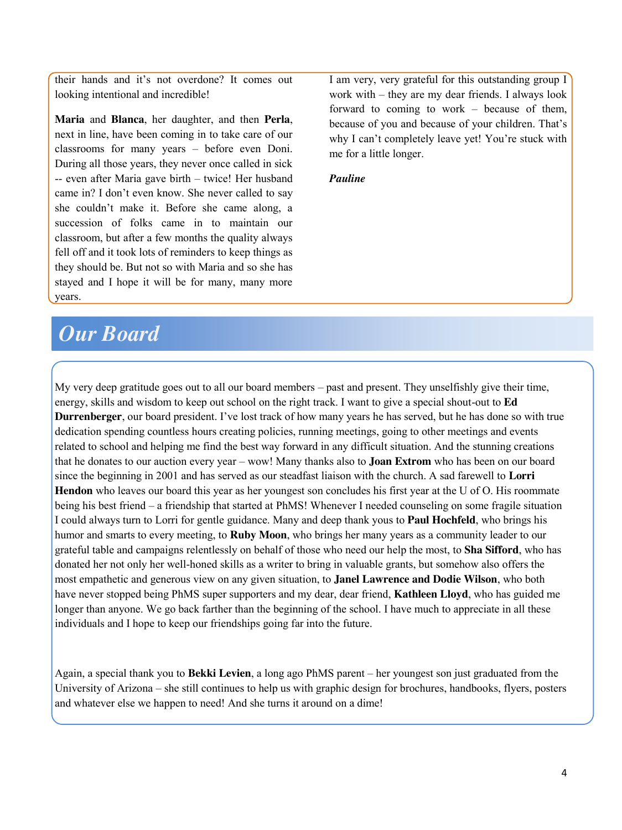their hands and it's not overdone? It comes out looking intentional and incredible!

**Maria** and **Blanca**, her daughter, and then **Perla**, next in line, have been coming in to take care of our classrooms for many years – before even Doni. During all those years, they never once called in sick -- even after Maria gave birth – twice! Her husband came in? I don't even know. She never called to say she couldn't make it. Before she came along, a succession of folks came in to maintain our classroom, but after a few months the quality always fell off and it took lots of reminders to keep things as they should be. But not so with Maria and so she has stayed and I hope it will be for many, many more years.

# *Our Board*

I am very, very grateful for this outstanding group I work with – they are my dear friends. I always look forward to coming to work – because of them, because of you and because of your children. That's why I can't completely leave yet! You're stuck with me for a little longer.

#### *Pauline*

My very deep gratitude goes out to all our board members – past and present. They unselfishly give their time, energy, skills and wisdom to keep out school on the right track. I want to give a special shout-out to **Ed Durrenberger**, our board president. I've lost track of how many years he has served, but he has done so with true dedication spending countless hours creating policies, running meetings, going to other meetings and events related to school and helping me find the best way forward in any difficult situation. And the stunning creations that he donates to our auction every year – wow! Many thanks also to **Joan Extrom** who has been on our board since the beginning in 2001 and has served as our steadfast liaison with the church. A sad farewell to **Lorri Hendon** who leaves our board this year as her youngest son concludes his first year at the U of O. His roommate being his best friend – a friendship that started at PhMS! Whenever I needed counseling on some fragile situation I could always turn to Lorri for gentle guidance. Many and deep thank yous to **Paul Hochfeld**, who brings his humor and smarts to every meeting, to **Ruby Moon**, who brings her many years as a community leader to our grateful table and campaigns relentlessly on behalf of those who need our help the most, to **Sha Sifford**, who has donated her not only her well-honed skills as a writer to bring in valuable grants, but somehow also offers the most empathetic and generous view on any given situation, to **Janel Lawrence and Dodie Wilson**, who both have never stopped being PhMS super supporters and my dear, dear friend, **Kathleen Lloyd**, who has guided me longer than anyone. We go back farther than the beginning of the school. I have much to appreciate in all these individuals and I hope to keep our friendships going far into the future.

Again, a special thank you to **Bekki Levien**, a long ago PhMS parent – her youngest son just graduated from the University of Arizona – she still continues to help us with graphic design for brochures, handbooks, flyers, posters and whatever else we happen to need! And she turns it around on a dime!